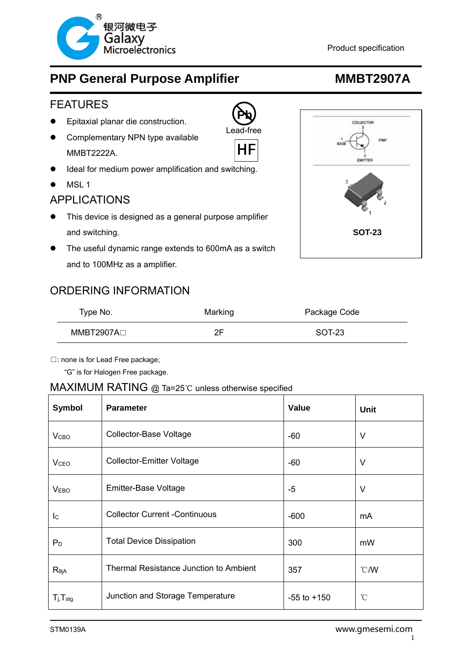

#### FEATURES

- Epitaxial planar die construction.
- Complementary NPN type available MMBT2222A.
- Ideal for medium power amplification and switching.
- MSL 1

### APPLICATIONS

- This device is designed as a general purpose amplifier and switching. **SOT-23**
- The useful dynamic range extends to 600mA as a switch and to 100MHz as a amplifier.

### ORDERING INFORMATION

| Type No.    | Marking | Package Code |  |
|-------------|---------|--------------|--|
| MMBT2907A⊟_ |         | SOT-23       |  |

**Pb** Lead-free

HF

□: none is for Lead Free package;

"G" is for Halogen Free package.

#### MAXIMUM RATING @ Ta=25℃ unless otherwise specified

| <b>Symbol</b>              | <b>Parameter</b>                       | <b>Value</b>    | <b>Unit</b>     |  |
|----------------------------|----------------------------------------|-----------------|-----------------|--|
| V <sub>CBO</sub>           | Collector-Base Voltage                 | $-60$           | V               |  |
| <b>V</b> <sub>CEO</sub>    | <b>Collector-Emitter Voltage</b>       | -60             | $\vee$          |  |
| <b>VEBO</b>                | Emitter-Base Voltage                   | -5              | V               |  |
| $\mathsf{I}^{\mathsf{C}}$  | <b>Collector Current -Continuous</b>   | $-600$          | mA              |  |
| $P_D$                      | <b>Total Device Dissipation</b>        | 300             | mW              |  |
| $R_{\theta jA}$            | Thermal Resistance Junction to Ambient | 357             | $\degree$ C/W   |  |
| $T_{j}$ , $T_{\text{stg}}$ | Junction and Storage Temperature       | $-55$ to $+150$ | $\rm ^{\circ}C$ |  |

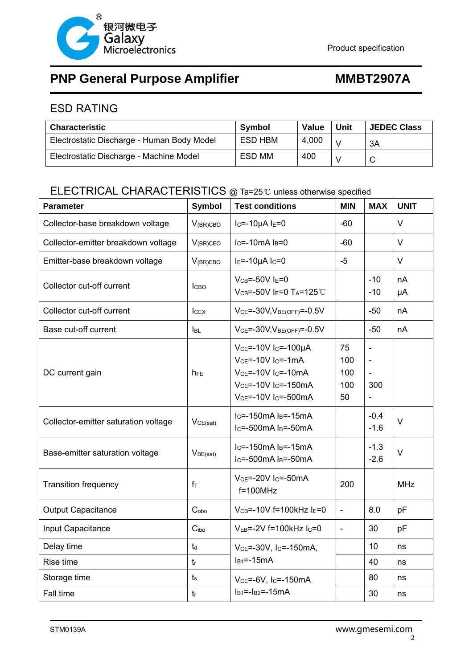

### ESD RATING

| <b>Characteristic</b>                      | <b>Symbol</b> | <b>Value</b> | Unit          | <b>JEDEC Class</b> |
|--------------------------------------------|---------------|--------------|---------------|--------------------|
| Electrostatic Discharge - Human Body Model | ESD HBM       | 4,000        |               | 3A                 |
| Electrostatic Discharge - Machine Model    | ESD MM        | 400          | $\mathcal{N}$ |                    |

## ELECTRICAL CHARACTERISTICS @ Ta=25℃ unless otherwise specified

| <b>Parameter</b>                     | <b>Symbol</b>        | <b>Test conditions</b>                                                                                                                                                                               | <b>MIN</b>                    | <b>MAX</b>                                    | <b>UNIT</b> |
|--------------------------------------|----------------------|------------------------------------------------------------------------------------------------------------------------------------------------------------------------------------------------------|-------------------------------|-----------------------------------------------|-------------|
| Collector-base breakdown voltage     | $V_{(BR)CBO}$        | $I_C = -10\mu A I_E = 0$                                                                                                                                                                             | $-60$                         |                                               | $\vee$      |
| Collector-emitter breakdown voltage  | $V_{(BR)CEO}$        | $lc=10mA$ $ls=0$                                                                                                                                                                                     | $-60$                         |                                               | $\vee$      |
| Emitter-base breakdown voltage       | $V_{(BR)EBO}$        | $IE=-10\mu A IC=0$                                                                                                                                                                                   | $-5$                          |                                               | $\vee$      |
| Collector cut-off current            | <b>CBO</b>           | $V_{CB} = -50V$ $I_E = 0$<br>$V_{CB} = -50V$ I <sub>E</sub> =0 T <sub>A</sub> =125°C                                                                                                                 |                               | $-10$<br>$-10$                                | nA<br>μA    |
| Collector cut-off current            | <b>ICEX</b>          | $VCE = -30V, VBE(OFF) = -0.5V$                                                                                                                                                                       |                               | $-50$                                         | nA          |
| Base cut-off current                 | <b>I</b> BL          | $VCE=-30V, VBE(OFF)=-0.5V$                                                                                                                                                                           |                               | $-50$                                         | nA          |
| DC current gain                      | <b>NFE</b>           | $V_{CE}$ =-10V I <sub>C</sub> =-100µA<br>$V_{CE} = -10V$ I <sub>C</sub> $= -1mA$<br>$VCE=-10V$ I <sub>C</sub> =-10mA<br>$V_{CE} = -10V I_C = -150mA$<br>V <sub>CE</sub> =-10V I <sub>C</sub> =-500mA | 75<br>100<br>100<br>100<br>50 | $\qquad \qquad -$<br>$\qquad \qquad -$<br>300 |             |
| Collector-emitter saturation voltage | VCE(sat)             | $lc=$ -150mA $ls=$ -15mA<br>$I_C$ =-500mA $I_B$ =-50mA                                                                                                                                               |                               | $-0.4$<br>$-1.6$                              | $\vee$      |
| Base-emitter saturation voltage      | V <sub>BE(sat)</sub> | $I_C = -150$ mA $I_B = -15$ mA<br>$lc = -500mA$ $ls = -50mA$                                                                                                                                         |                               | $-1.3$<br>$-2.6$                              | $\vee$      |
| <b>Transition frequency</b>          | $f_{\text{T}}$       | V <sub>CE</sub> =-20V I <sub>C</sub> =-50mA<br>$f=100MHz$                                                                                                                                            | 200                           |                                               | <b>MHz</b>  |
| Output Capacitance                   | C <sub>obo</sub>     | $V_{CB}$ =-10V f=100kHz l $E$ =0                                                                                                                                                                     | $\overline{a}$                | 8.0                                           | pF          |
| Input Capacitance                    | C <sub>ibo</sub>     | $V_{EB}$ =-2V f=100kHz $I_C$ =0                                                                                                                                                                      | $\blacksquare$                | 30                                            | pF          |
| Delay time                           | $t_d$                | VCE=-30V, Ic=-150mA,                                                                                                                                                                                 |                               | 10                                            | ns          |
| Rise time                            | $t_{r}$              | $IB1=-15mA$                                                                                                                                                                                          |                               | 40                                            | ns          |
| Storage time                         | $t_{\rm s}$          | $VCE = -6V$ , $I_C = -150mA$                                                                                                                                                                         |                               | 80                                            | ns          |
| Fall time                            | tr                   | $I_{B1}=-I_{B2}=-15mA$                                                                                                                                                                               |                               | 30                                            | ns          |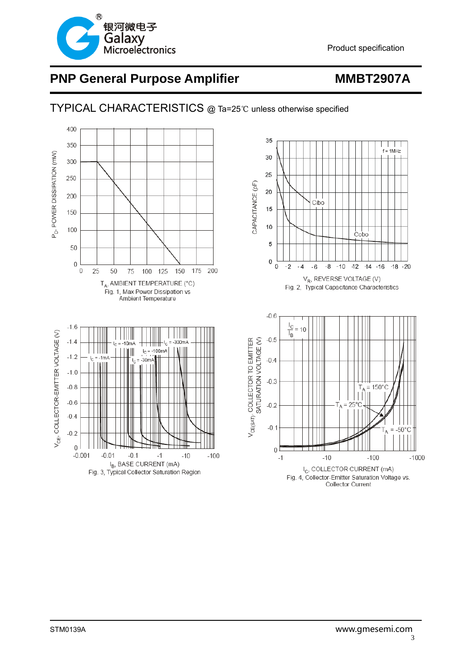

### TYPICAL CHARACTERISTICS @ Ta=25℃ unless otherwise specified

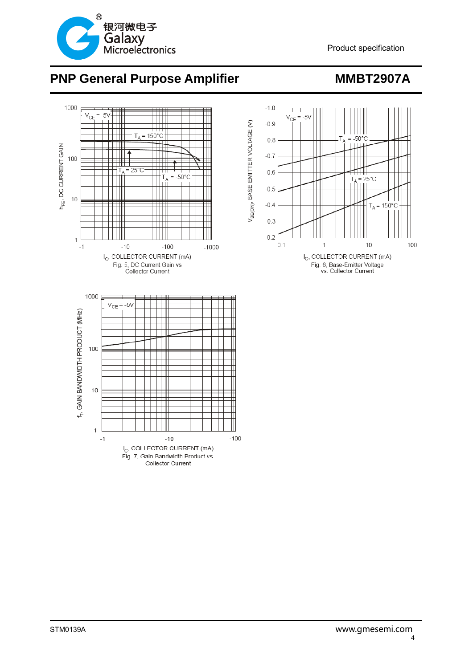